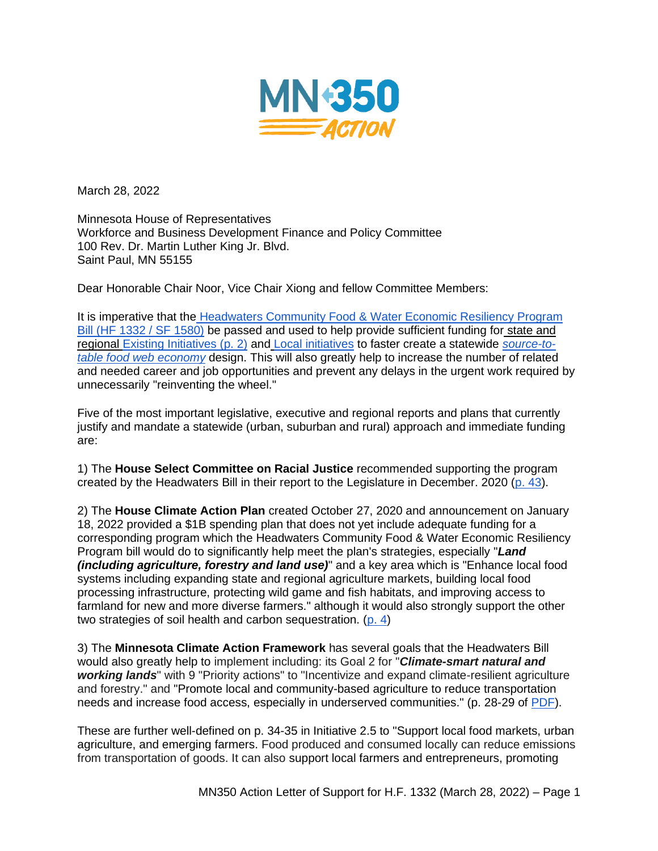

March 28, 2022

Minnesota House of Representatives Workforce and Business Development Finance and Policy Committee 100 Rev. Dr. Martin Luther King Jr. Blvd. Saint Paul, MN 55155

Dear Honorable Chair Noor, Vice Chair Xiong and fellow Committee Members:

It is imperative that the Headwaters Community Food & Water Economic Resiliency Program [Bill \(HF 1332 / SF 1580\)](https://www.revisor.mn.gov/bills/bill.php?b=House&f=HF1332&ssn=0&y=2021) be passed and used to help provide sufficient funding for [state and](https://static1.squarespace.com/static/58c997a186e6c07b2ffc3ded/t/6216f65a34e8f135dd7ab39f/1645672027212/HW+Bill+resource+page.pdf)  [regional Existing Initiatives \(p. 2\)](https://static1.squarespace.com/static/58c997a186e6c07b2ffc3ded/t/6216f65a34e8f135dd7ab39f/1645672027212/HW+Bill+resource+page.pdf) and [Local initiatives](https://static1.squarespace.com/static/58c997a186e6c07b2ffc3ded/t/6216f675e212e1193cad0f1a/1645672053880/Local+Initiatives-food.pdf) to faster create a statewide *[source-to](https://www.youtube.com/watch?v=D9TLOZtUETA)[table food web economy](https://www.youtube.com/watch?v=D9TLOZtUETA)* design. This will also greatly help to increase the number of related and needed career and job opportunities and prevent any delays in the urgent work required by unnecessarily "reinventing the wheel."

Five of the most important legislative, executive and regional reports and plans that currently justify and mandate a statewide (urban, suburban and rural) approach and immediate funding are:

1) The **House Select Committee on Racial Justice** recommended supporting the program created by the Headwaters Bill in their report to the Legislature in December. 2020 [\(p. 43\)](https://www.house.leg.state.mn.us/comm/docs/AtTtQOzOW0_0kfobUfMQrw.pdf?emci=64437fd8-77c4-eb11-a7ad-501ac57b8fa7).

2) The **House Climate Action Plan** created October 27, 2020 and announcement on January 18, 2022 provided a \$1B spending plan that does not yet include adequate funding for a corresponding program which the Headwaters Community Food & Water Economic Resiliency Program bill would do to significantly help meet the plan's strategies, especially "*Land (including agriculture, forestry and land use)*" and a key area which is "Enhance local food systems including expanding state and regional agriculture markets, building local food processing infrastructure, protecting wild game and fish habitats, and improving access to farmland for new and more diverse farmers." although it would also strongly support the other two strategies of soil health and carbon sequestration. [\(p. 4\)](https://www.house.leg.state.mn.us/dflpdf/990649f7-d9db-4ffd-a5b5-496baddbb282.pdf)

3) The **Minnesota Climate Action Framework** has several goals that the Headwaters Bill would also greatly help to implement including: its Goal 2 for "*Climate-smart natural and working lands*" with 9 "Priority actions" to "Incentivize and expand climate-resilient agriculture and forestry." and "Promote local and community-based agriculture to reduce transportation needs and increase food access, especially in underserved communities." (p. 28-29 of [PDF\)](https://climate.state.mn.us/sites/climate-action/files/2022-01/Climate%20Action%20Framework%20Draft_2.pdf).

These are further well-defined on p. 34-35 in Initiative 2.5 to "Support local food markets, urban agriculture, and emerging farmers. Food produced and consumed locally can reduce emissions from transportation of goods. It can also support local farmers and entrepreneurs, promoting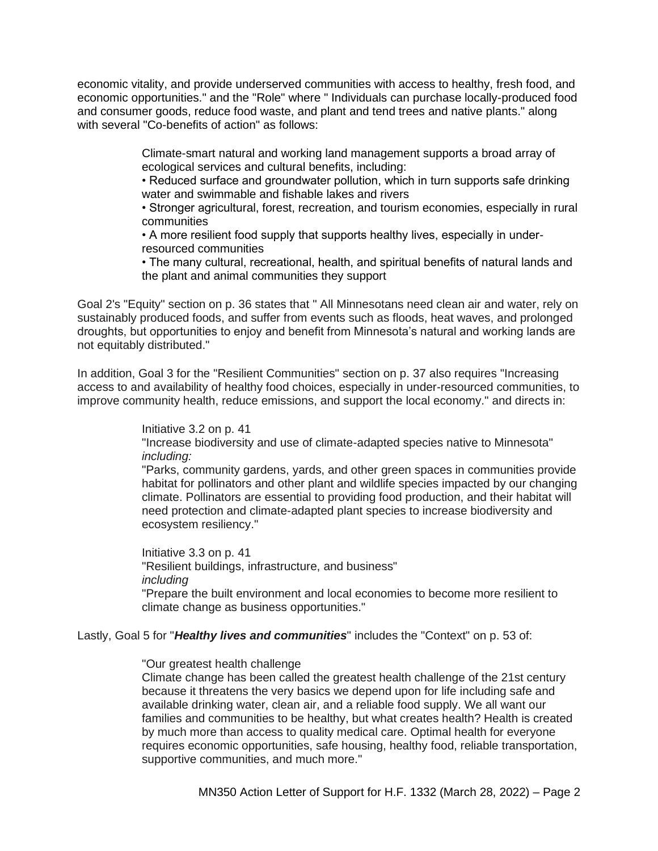economic vitality, and provide underserved communities with access to healthy, fresh food, and economic opportunities." and the "Role" where " Individuals can purchase locally-produced food and consumer goods, reduce food waste, and plant and tend trees and native plants." along with several "Co-benefits of action" as follows:

> Climate-smart natural and working land management supports a broad array of ecological services and cultural benefits, including:

• Reduced surface and groundwater pollution, which in turn supports safe drinking water and swimmable and fishable lakes and rivers

• Stronger agricultural, forest, recreation, and tourism economies, especially in rural communities

• A more resilient food supply that supports healthy lives, especially in underresourced communities

• The many cultural, recreational, health, and spiritual benefits of natural lands and the plant and animal communities they support

Goal 2's "Equity" section on p. 36 states that " All Minnesotans need clean air and water, rely on sustainably produced foods, and suffer from events such as floods, heat waves, and prolonged droughts, but opportunities to enjoy and benefit from Minnesota's natural and working lands are not equitably distributed."

In addition, Goal 3 for the "Resilient Communities" section on p. 37 also requires "Increasing access to and availability of healthy food choices, especially in under-resourced communities, to improve community health, reduce emissions, and support the local economy." and directs in:

> Initiative 3.2 on p. 41 "Increase biodiversity and use of climate-adapted species native to Minnesota" *including:*

"Parks, community gardens, yards, and other green spaces in communities provide habitat for pollinators and other plant and wildlife species impacted by our changing climate. Pollinators are essential to providing food production, and their habitat will need protection and climate-adapted plant species to increase biodiversity and ecosystem resiliency."

Initiative 3.3 on p. 41 "Resilient buildings, infrastructure, and business" *including* "Prepare the built environment and local economies to become more resilient to climate change as business opportunities."

Lastly, Goal 5 for "*Healthy lives and communities*" includes the "Context" on p. 53 of:

"Our greatest health challenge

Climate change has been called the greatest health challenge of the 21st century because it threatens the very basics we depend upon for life including safe and available drinking water, clean air, and a reliable food supply. We all want our families and communities to be healthy, but what creates health? Health is created by much more than access to quality medical care. Optimal health for everyone requires economic opportunities, safe housing, healthy food, reliable transportation, supportive communities, and much more."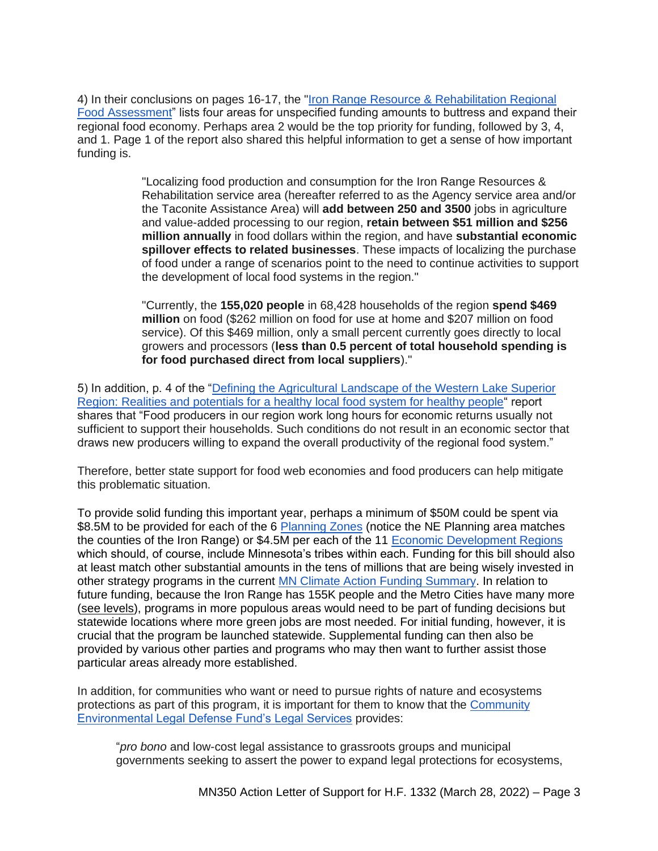4) In their conclusions on pages 16-17, the ["Iron Range Resource & Rehabilitation Regional](https://static1.squarespace.com/static/5829dc7ad482e98c45949d85/t/5b97eb1f4d7a9c8491676afb/1536682789959/LocalFood-as-an-EconomicDriver+IRPS+2018a-min.pdf)  [Food Assessment"](https://static1.squarespace.com/static/5829dc7ad482e98c45949d85/t/5b97eb1f4d7a9c8491676afb/1536682789959/LocalFood-as-an-EconomicDriver+IRPS+2018a-min.pdf) lists four areas for unspecified funding amounts to buttress and expand their regional food economy. Perhaps area 2 would be the top priority for funding, followed by 3, 4, and 1. Page 1 of the report also shared this helpful information to get a sense of how important funding is.

> "Localizing food production and consumption for the Iron Range Resources & Rehabilitation service area (hereafter referred to as the Agency service area and/or the Taconite Assistance Area) will **add between 250 and 3500** jobs in agriculture and value-added processing to our region, **retain between \$51 million and \$256 million annually** in food dollars within the region, and have **substantial economic spillover effects to related businesses**. These impacts of localizing the purchase of food under a range of scenarios point to the need to continue activities to support the development of local food systems in the region."

"Currently, the **155,020 people** in 68,428 households of the region **spend \$469 million** on food (\$262 million on food for use at home and \$207 million on food service). Of this \$469 million, only a small percent currently goes directly to local growers and processors (**less than 0.5 percent of total household spending is for food purchased direct from local suppliers**)."

5) In addition, p. 4 of the ["Defining the Agricultural Landscape of the Western Lake Superior](https://www.round-river.com/_files/ugd/2926a6_38666d37d76142d1ad41278705bfee0f.pdf)  [Region: Realities and potentials for a healthy local food system for healthy people"](https://www.round-river.com/_files/ugd/2926a6_38666d37d76142d1ad41278705bfee0f.pdf) report shares that "Food producers in our region work long hours for economic returns usually not sufficient to support their households. Such conditions do not result in an economic sector that draws new producers willing to expand the overall productivity of the regional food system."

Therefore, better state support for food web economies and food producers can help mitigate this problematic situation.

To provide solid funding this important year, perhaps a minimum of \$50M could be spent via \$8.5M to be provided for each of the 6 [Planning Zones](https://apps.deed.state.mn.us/assets/lmi/areamap/plan.shtml) (notice the NE Planning area matches the counties of the Iron Range) or \$4.5M per each of the 11 [Economic Development Regions](https://apps.deed.state.mn.us/assets/lmi/areamap/edr.shtml) which should, of course, include Minnesota's tribes within each. Funding for this bill should also at least match other substantial amounts in the tens of millions that are being wisely invested in other strategy programs in the current [MN Climate Action Funding Summary.](https://content.govdelivery.com/attachments/MNHOUSEDFL/2022/01/19/file_attachments/2052199/2022%20Minnesota%20Climate%20Action%20Plan%20v2.pdf) In relation to future funding, because the Iron Range has 155K people and the Metro Cities have many more [\(see levels\)](https://en.wikipedia.org/wiki/Minneapolis%E2%80%93Saint_Paul#Metropolitan_Statistical_Area), programs in more populous areas would need to be part of funding decisions but statewide locations where more green jobs are most needed. For initial funding, however, it is crucial that the program be launched statewide. Supplemental funding can then also be provided by various other parties and programs who may then want to further assist those particular areas already more established.

In addition, for communities who want or need to pursue rights of nature and ecosystems protections as part of this program, it is important for them to know that the [Community](https://celdf.org/legal-services/)  [Environmental Legal Defense Fund's Legal Services](https://celdf.org/legal-services/) provides:

"*pro bono* and low-cost legal assistance to grassroots groups and municipal governments seeking to assert the power to expand legal protections for ecosystems,